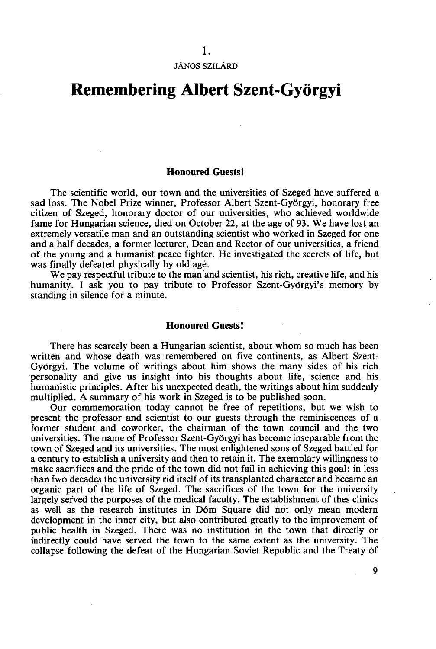JÁNOS SZILÁRD

## **Remembering Albert Szent-Györgyi**

## **Honoured Guests!**

The scientific world, our town and the universities of Szeged have suffered a sad loss. The Nobel Prize winner, Professor Albert Szent-Györgyi, honorary free citizen of Szeged, honorary doctor of our universities, who achieved worldwide fame for Hungarian science, died on October 22, at the age of 93. We have lost an extremely versatile man and an outstanding scientist who worked in Szeged for one and a half decades, a former lecturer, Dean and Rector of our universities, a friend of the young and a humanist peace fighter. He investigated the secrets of life, but was finally defeated physically by old agé.

We pay respectful tribute to the man and scientist, his rich, creative life, and his humanity. I ask you to pay tribute to Professor Szent-Györgyi's memory by standing in silence for a minute.

## **Honoured Guests!**

There has scarcely been a Hungarian scientist, about whom so much has been written and whose death was remembered on five continents, as Albert Szent-Györgyi. The volume of writings about him shows the many sides of his rich personality and give us insight into his thoughts about life, science and his humanistic principles. After his unexpected death, the writings about him suddenly multiplied. A summary of his work in Szeged is to be published soon.

Our commemoration today cannot be free of repetitions, but we wish to present the professor and scientist to our guests through the reminiscences of a former student and coworker, the chairman of the town council and the two universities. The name of Professor Szent-Györgyi has become inseparable from the town of Szeged and its universities. The most enlightened sons of Szeged battled for a century to establish a university and then to retain it. The exemplary willingness to make sacrifices and the pride of the town did not fail in achieving this goal: in less than iwo decades the university rid itself of its transplanted character and became an organic part of the life of Szeged. The sacrifices of the town for the university largely served the purposes of the medical faculty. The establishment of thes clinics as well as the research institutes in Dóm Square did not only mean modern development in the inner city, but also contributed greatly to the improvement of public health in Szeged. There was no institution in the town that directly or indirectly could have served the town to the same extent as the university. The collapse following the defeat of the Hungarian Soviet Republic and the Treaty óf

**9**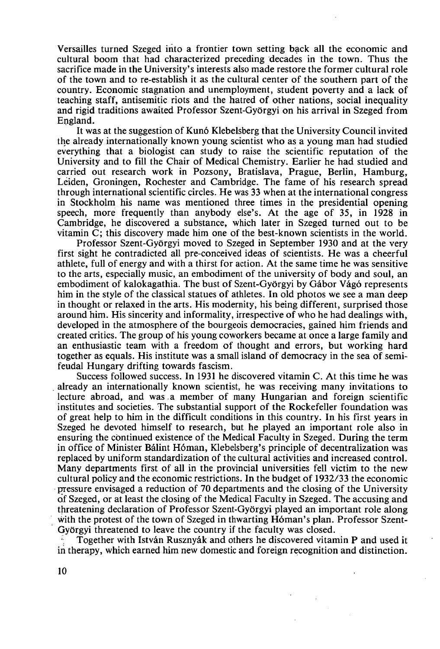Versailles turned Szeged into a frontier town setting back all the economic and cultural boom that had characterized preceding decades in the town. Thus the sacrifice made in the University's interests also made restore the former cultural role of the town and to re-establish it as the cultural center of the southern part of the country. Economic stagnation and unemployment, student poverty and a lack of teaching staff, antisemitic riots and the hatred of other nations, social inequality and rigid traditions awaited Professor Szent-Györgyi on his arrival in Szeged from England.

It was at the suggestion of Kunó Klebelsberg that the University Council invited the already internationally known young scientist who as a young man had studied everything that a biologist can study to raise the scientific reputation of the University and to fill the Chair of Medical Chemistry. Earlier he had studied and carried out research work in Pozsony, Bratislava, Prague, Berlin, Hamburg, Leiden, Groningen, Rochester and Cambridge. The fame of his research spread through international scientific circles. He was 33 when at the international congress in Stockholm his name was mentioned three times in the presidential opening speech, more frequently than anybody else's. At the age of 35, in 1928 in Cambridge, he discovered a substance, which later in Szeged turned out to be vitamin C; this discovery made him one of the best-known scientists in the world.

Professor Szent-Györgyi moved to Szeged in September 1930 and at the very first sight he contradicted all pre-conceived ideas of scientists. He was a cheerful athlete, full of energy and with a thirst for action. At the same time he was sensitive to the arts, especially music, an embodiment of the university of body and soul, an embodiment of kalokagathia. The bust of Szent-Györgyi by Gábor Vágó represents him in the style of the classical statues of athletes. In old photos we see a man deep in thought or relaxed in the arts. His modernity, his being different, surprised those around him. His sincerity and informality, irrespective of who he had dealings with, developed in the atmosphere of the bourgeois democracies, gained him friends and created critics. The group of his young coworkers became at once a large family and an enthusiastic team with a freedom of thought and errors, but working hard together as equals. His institute was a small island of democracy in the sea of semifeudal Hungary drifting towards fascism.

Success followed success. In 1931 he discovered vitamin C. At this time he was already an internationally known scientist, he was receiving many invitations to lecture abroad, and was a member of many Hungarian and foreign scientific institutes and societies. The substantial support of the Rockefeller foundation was of great help to him in the difficult conditions in this country. In his first years in Szeged he devoted himself to research, but he played an important role also in ensuring the continued existence of the Medical Faculty in Szeged. During the term in office of Minister Bálint Hóman, Klebelsberg's principle of decentralization was replaced by uniform standardization of the cultural activities and increased control. Many departments first of all in the provincial universities fell victim to the new cultural policy and the economic restrictions. In the budget of 1932/33 the economic pressure envisaged a reduction of 70 departments and the closing of the University of Szeged, or at least the closing of the Medical Faculty in Szeged. The accusing and threatening declaration of Professor Szent-Györgyi played an important role along with the protest of the town of Szeged in thwarting Hóman's plan. Professor Szent-Györgyi threatened to leave the country if the faculty was closed.

Together with István Rusznyák and others he discovered vitamin P and used it in therapy, which earned him new domestic and foreign recognition and distinction.

**10**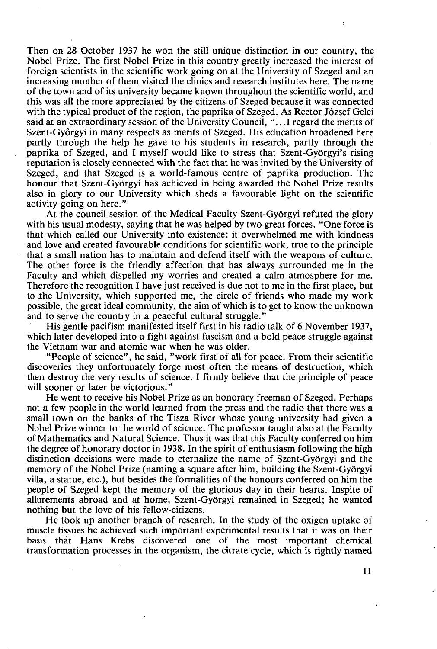Then on 28 October 1937 he won the still unique distinction in our country, the Nobel Prize. The first Nobel Prize in this country greatly increased the interest of foreign scientists in the scientific work going on at the University of Szeged and an increasing number of them visited the clinics and research institutes here. The name of the town and of its university became known throughout the scientific world, and this was all the more appreciated by the citizens of Szeged because it was connected with the typical product of the region, the paprika of Szeged. As Rector József Gelei said at an extraordinary session of the University Council, ".. .1 regard the merits of Szent-Gyórgyi in many respects as merits of Szeged. His education broadened here partly through the help he gave to his students in research, partly through the paprika of Szeged, and I myself would like to stress that Szent-Györgyi's rising reputation is closely connected with the fact that he was invited by the University of Szeged, and that Szeged is a world-famous centre of paprika production. The honour that Szent-Györgyi has achieved in being awarded the Nobel Prize results also in glory to our University which sheds a favourable light on the scientific activity going on here."

At the council session of the Medical Faculty Szent-Györgyi refuted the glory with his usual modesty, saying that he was helped by two great forces. "One force is that which called our University into existence: it overwhelmed me with kindness and love and created favourable conditions for scientific work, true to the principle that a small nation has to maintain and defend itself with the weapons of culture. The other force is the friendly affection that has always surrounded me in the Faculty and which dispelled my worries and created a calm atmosphere for me. Therefore the recognition I have just received is due not to me in the first place, but to the University, which supported me, the circle of friends who made my work possible, the great ideal community, the aim of which is to get to know the unknown and to serve the country in a peaceful cultural struggle."

His gentle pacifism manifested itself first in his radio talk of 6 November 1937, which later developed into a fight against fascism and a bold peace struggle against the Vietnam war and atomic war when he was older.

"People of science", he said, "work first of all for peace. From their scientific discoveries they unfortunately forge most often the means of destruction, which then destroy the very results of science. I firmly believe that the principle of peace will sooner or later be victorious."

He went to receive his Nobel Prize as an honorary freeman of Szeged. Perhaps not a few people in the world learned from the press and the radio that there was a small town on the banks of the Tisza River whose young university had given a Nobel Prize winner to the world of science. The professor taught also at the Faculty of Mathematics and Natural Science. Thus it was that this Faculty conferred on him the degree of honorary doctor in 1938. In the spirit of enthusiasm following the high distinction decisions were made to eternalize the name of Szent-Györgyi and the memory of the Nobel Prize (naming a square after him, building the Szent-Györgyi villa, a statue, etc.), but besides the formalities of the honours conferred on him the people of Szeged kept the memory of the glorious day in their hearts. Inspite of allurements abroad and at home, Szent-Györgyi remained in Szeged; he wanted nothing but the love of his fellow-citizens.

He took up another branch of research. In the study of the oxigen uptake of muscle tissues he achieved such important experimental results that it was on their basis thát Hans Krebs discovered one of the most important chemical transformation processes in the organism, the citrate cycle, which is rightly named

**11**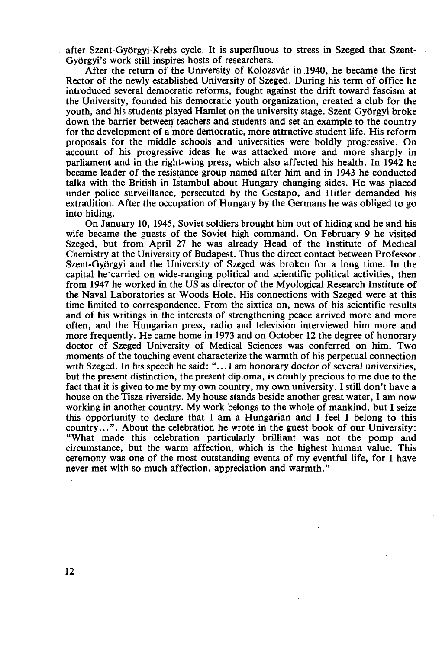after Szent-Györgyi-Krebs cycle. It is superfluous to stress in Szeged that Szent-Györgyi's work still inspires hosts of researchers.

After the return of the University of Kolozsvár in .1940, he became the first Rector of the newly established University of Szeged. During his term of office he introduced several democratic reforms, fought against the drift toward fascism at the University, founded his democratic youth organization, created a club for the youth, and his students played Hamlet on the university stage. Szent-Györgyi broke down the barrier between teachers and students and set an example to the country for the development of a more democratic, more attractive student life. His reform proposals for the middle schools and universities were boldly progressive. On account of his progressive ideas he was attacked more and more sharply in parliament and in the right-wing press, which also affected his health. In 1942 he became leader of the resistance group named after him and in 1943 he conducted talks with the British in Istambul about Hungary changing sides. He was placed under police surveillance, persecuted by the Gestapo, and Hitler demanded his extradition. After the occupation of Hungary by the Germans he was obliged to go into hiding.

On January 10, 1945, Soviet soldiers brought him out of hiding and he and his wife became the guests of the Soviet high command. On February 9 he visited Szeged, but from April 27 he was already Head of the Institute of Medical Chemistry at the University of Budapest. Thus the direct contact between Professor Szent-Györgyi and the University of Szeged was broken for a long time. In the capital he carried on wide-ranging political and scientific political activities, then from 1947 he worked in the US as director of the Myological Research Institute of the Naval Laboratories at Woods Hole. His connections with Szeged were at this time limited to correspondence. From the sixties on, news of his scientific results and of his writings in the interests of strengthening peace arrived more and more often, and the Hungarian press, radio and television interviewed him more and more frequently. He came home in 1973 and on October 12 the degree of honorary doctor of Szeged University of Medical Sciences was conferred on him. Two moments of the touching event characterize the warmth of his perpetual connection with Szeged. In his speech he said: "... I am honorary doctor of several universities, but the present distinction, the present diploma, is doubly precious to me due to the fact that it is given to me by my own country, my own university. I still don't have a house on the Tisza riverside. My house stands beside another great water, I am now working in another country. My work belongs to the whole of mankind, but I seize this opportunity to declare that I am a Hungarian and I feel I belong to this country...". About the celebration he wrote in the guest book of our University: "What made this celebration particularly brilliant was not the pomp and circumstance, but the warm affection, which is the highest human value. This ceremony was one of the most outstanding events of my eventful life, for I have never met with so much affection, appreciation and warmth."